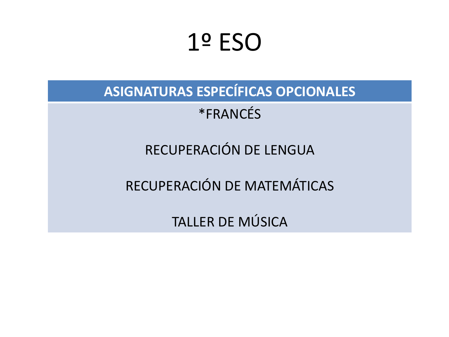## 1º ESO

**ASIGNATURAS ESPECÍFICAS OPCIONALES**

\*FRANCÉS

RECUPERACIÓN DE LENGUA

RECUPERACIÓN DE MATEMÁTICAS

TALLER DE MÚSICA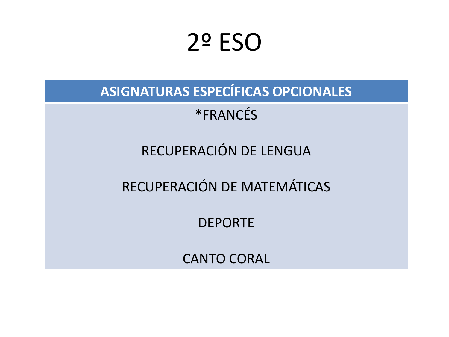# 2º ESO

**ASIGNATURAS ESPECÍFICAS OPCIONALES**

\*FRANCÉS

RECUPERACIÓN DE LENGUA

RECUPERACIÓN DE MATEMÁTICAS

DEPORTE

CANTO CORAL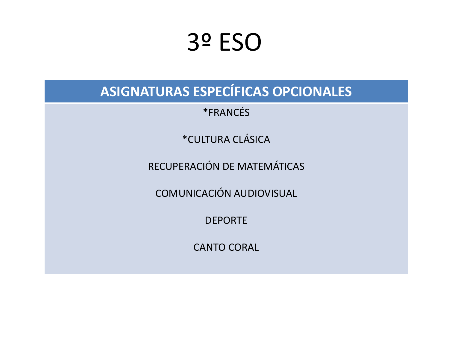# 3º ESO

ASIGNATURAS ESPECÍFICAS OPCIONALES

\*FRANCÉS

\*CULTURA CLÁSICA

RECUPERACIÓN DE MATEMÁTICAS

**COMUNICACIÓN AUDIOVISUAL** 

**DEPORTE** 

**CANTO CORAL**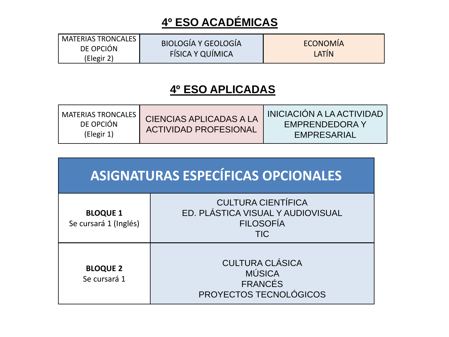### **4º ESO ACADÉMICAS**

| <b>MATERIAS TRONCALES</b> | BIOLOGÍA Y GEOLOGÍA     | ECONOMÍA |
|---------------------------|-------------------------|----------|
| DE OPCIÓN                 |                         |          |
| (Elegir 2)                | <b>FÍSICA Y QUÍMICA</b> | LATIN    |

#### **4º ESO APLICADAS**

| ASIGNATURAS ESPECÍFICAS OPCIONALES       |                                                                                                  |  |  |  |
|------------------------------------------|--------------------------------------------------------------------------------------------------|--|--|--|
| <b>BLOQUE 1</b><br>Se cursará 1 (Inglés) | <b>CULTURA CIENTÍFICA</b><br>ED. PLÁSTICA VISUAL Y AUDIOVISUAL<br><b>FILOSOFÍA</b><br><b>TIC</b> |  |  |  |
| <b>BLOQUE 2</b><br>Se cursará 1          | <b>CULTURA CLÁSICA</b><br><b>MÚSICA</b><br><b>FRANCÉS</b><br>PROYECTOS TECNOLÓGICOS              |  |  |  |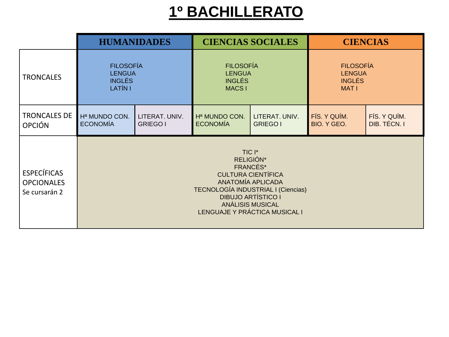### **1º BACHILLERATO**

|                                                          | <b>HUMANIDADES</b>                                                                                                                                                                                               |                 | <b>CIENCIAS SOCIALES</b>  |                 | <b>CIENCIAS</b>  |              |
|----------------------------------------------------------|------------------------------------------------------------------------------------------------------------------------------------------------------------------------------------------------------------------|-----------------|---------------------------|-----------------|------------------|--------------|
| <b>TRONCALES</b>                                         | <b>FILOSOFÍA</b>                                                                                                                                                                                                 |                 | <b>FILOSOFÍA</b>          |                 | <b>FILOSOFÍA</b> |              |
|                                                          | <b>LENGUA</b>                                                                                                                                                                                                    |                 | <b>LENGUA</b>             |                 | <b>LENGUA</b>    |              |
|                                                          | <b>INGLÉS</b>                                                                                                                                                                                                    |                 | <b>INGLÉS</b>             |                 | <b>INGLÉS</b>    |              |
|                                                          | LATÍN I                                                                                                                                                                                                          |                 | <b>MACS1</b>              |                 | <b>MAT1</b>      |              |
| <b>TRONCALES DE</b>                                      | Hª MUNDO CON.                                                                                                                                                                                                    | LITERAT. UNIV.  | H <sup>a</sup> MUNDO CON. | LITERAT. UNIV.  | FÍS. Y QUÍM.     | FÍS. Y QUÍM. |
| <b>OPCIÓN</b>                                            | <b>ECONOMÍA</b>                                                                                                                                                                                                  | <b>GRIEGO I</b> | <b>ECONOMÍA</b>           | <b>GRIEGO I</b> | BIO. Y GEO.      | DIB. TÉCN. I |
| <b>ESPECÍFICAS</b><br><b>OPCIONALES</b><br>Se cursarán 2 | TIC I*<br>RELIGIÓN*<br>FRANCÉS*<br><b>CULTURA CIENTÍFICA</b><br>ANATOMÍA APLICADA<br>TECNOLOGÍA INDUSTRIAL I (Ciencias)<br><b>DIBUJO ARTÍSTICO I</b><br><b>ANÁLISIS MUSICAL</b><br>LENGUAJE Y PRÁCTICA MUSICAL I |                 |                           |                 |                  |              |